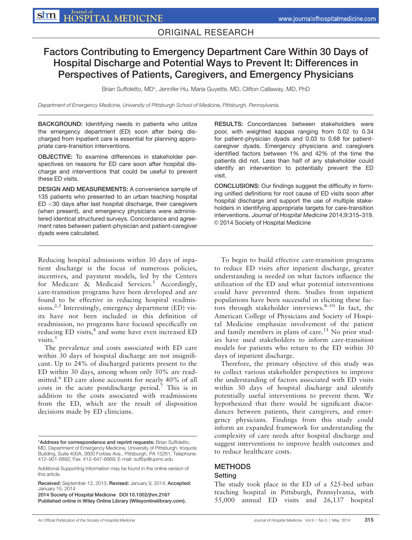## ORIGINAL RESEARCH

# Factors Contributing to Emergency Department Care Within 30 Days of Hospital Discharge and Potential Ways to Prevent It: Differences in Perspectives of Patients, Caregivers, and Emergency Physicians

Brian Suffoletto, MD\*, Jennifer Hu, Maria Guyette, MD, Clifton Callaway, MD, PhD

Department of Emergency Medicine, University of Pittsburgh School of Medicine, Pittsburgh, Pennsylvania.

BACKGROUND: Identifying needs in patients who utilize the emergency department (ED) soon after being discharged from inpatient care is essential for planning appropriate care-transition interventions.

OBJECTIVE: To examine differences in stakeholder perspectives on reasons for ED care soon after hospital discharge and interventions that could be useful to prevent these ED visits.

DESIGN AND MEASUREMENTS: A convenience sample of 135 patients who presented to an urban teaching hospital ED <30 days after last hospital discharge, their caregivers (when present), and emergency physicians were administered identical structured surveys. Concordance and agreement rates between patient-physician and patient-caregiver dyads were calculated.

Reducing hospital admissions within 30 days of inpatient discharge is the focus of numerous policies, incentives, and payment models, led by the Centers for Medicare & Medicaid Services.<sup>1</sup> Accordingly, care-transition programs have been developed and are found to be effective in reducing hospital readmissions.<sup>2,3</sup> Interestingly, emergency department (ED) visits have not been included in this definition of readmission, no programs have focused specifically on reducing ED visits, $4$  and some have even increased ED visits.<sup>5</sup>

The prevalence and costs associated with ED care within 30 days of hospital discharge are not insignificant. Up to 24% of discharged patients present to the ED within 30 days, among whom only 50% are readmitted.<sup>6</sup> ED care alone accounts for nearly 40% of all costs in the acute postdischarge period.7 This is in addition to the costs associated with readmissions from the ED, which are the result of disposition decisions made by ED clinicians.

2014 Society of Hospital Medicine DOI 10.1002/jhm.2167 Published online in Wiley Online Library (Wileyonlinelibrary.com). RESULTS: Concordances between stakeholders were poor, with weighted kappas ranging from 0.02 to 0.34 for patient-physician dyads and 0.03 to 0.68 for patientcaregiver dyads. Emergency physicians and caregivers identified factors between 1% and 42% of the time the patients did not. Less than half of any stakeholder could identify an intervention to potentially prevent the ED visit.

CONCLUSIONS: Our findings suggest the difficulty in forming unified definitions for root cause of ED visits soon after hospital discharge and support the use of multiple stakeholders in identifying appropriate targets for care-transition interventions. Journal of Hospital Medicine 2014;9:315–319. © 2014 Society of Hospital Medicine

To begin to build effective care-transition programs to reduce ED visits after inpatient discharge, greater understanding is needed on what factors influence the utilization of the ED and what potential interventions could have prevented them. Studies from inpatient populations have been successful in eliciting these factors through stakeholder interviews. $8-10$  In fact, the American College of Physicians and Society of Hospital Medicine emphasize involvement of the patient and family members in plans of care. $11$  No prior studies have used stakeholders to inform care-transition models for patients who return to the ED within 30 days of inpatient discharge.

Therefore, the primary objective of this study was to collect various stakeholder perspectives to improve the understanding of factors associated with ED visits within 30 days of hospital discharge and identify potentially useful interventions to prevent them. We hypothesized that there would be significant discordances between patients, their caregivers, and emergency physicians. Findings from this study could inform an expanded framework for understanding the complexity of care needs after hospital discharge and suggest interventions to improve health outcomes and to reduce healthcare costs.

#### **METHODS**

#### Setting

The study took place in the ED of a 525-bed urban teaching hospital in Pittsburgh, Pennsylvania, with 55,000 annual ED visits and 26,137 hospital

<sup>\*</sup>Address for correspondence and reprint requests: Brian Suffoletto, MD, Department of Emergency Medicine, University of Pittsburgh, Iroquois Building, Suite 400A, 3600 Forbes Ave., Pittsburgh, PA 15261; Telephone: 412–901-6892; Fax: 412–647-6669; E-mail[: suffbp@upmc.edu](mailto:suffbp@upmc.edu)

Additional Supporting Information may be found in the online version of this article.

Received: September 12, 2013; Revised: January 9, 2014; Accepted: January 15, 2014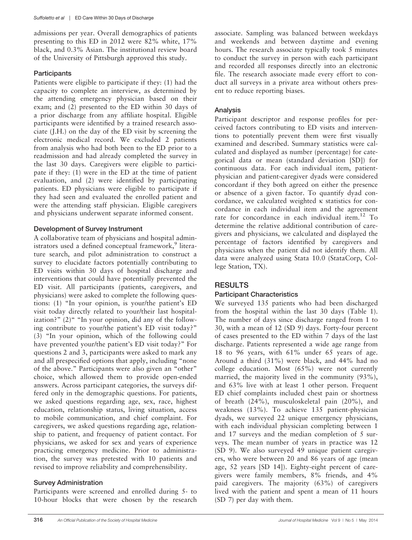admissions per year. Overall demographics of patients presenting to this ED in 2012 were 82% white, 17% black, and 0.3% Asian. The institutional review board of the University of Pittsburgh approved this study.

### **Participants**

Patients were eligible to participate if they: (1) had the capacity to complete an interview, as determined by the attending emergency physician based on their exam; and (2) presented to the ED within 30 days of a prior discharge from any affiliate hospital. Eligible participants were identified by a trained research associate (J.H.) on the day of the ED visit by screening the electronic medical record. We excluded 2 patients from analysis who had both been to the ED prior to a readmission and had already completed the survey in the last 30 days. Caregivers were eligible to participate if they: (1) were in the ED at the time of patient evaluation, and (2) were identified by participating patients. ED physicians were eligible to participate if they had seen and evaluated the enrolled patient and were the attending staff physician. Eligible caregivers and physicians underwent separate informed consent.

### Development of Survey Instrument

A collaborative team of physicians and hospital administrators used a defined conceptual framework,<sup>9</sup> literature search, and pilot administration to construct a survey to elucidate factors potentially contributing to ED visits within 30 days of hospital discharge and interventions that could have potentially prevented the ED visit. All participants (patients, caregivers, and physicians) were asked to complete the following questions: (1) "In your opinion, is your/the patient's ED visit today directly related to your/their last hospitalization?"  $(2)$ " "In your opinion, did any of the following contribute to your/the patient's ED visit today?" (3) "In your opinion, which of the following could have prevented your/the patient's ED visit today?" For questions 2 and 3, participants were asked to mark any and all prespecified options that apply, including "none of the above." Participants were also given an "other" choice, which allowed them to provide open-ended answers. Across participant categories, the surveys differed only in the demographic questions. For patients, we asked questions regarding age, sex, race, highest education, relationship status, living situation, access to mobile communication, and chief complaint. For caregivers, we asked questions regarding age, relationship to patient, and frequency of patient contact. For physicians, we asked for sex and years of experience practicing emergency medicine. Prior to administration, the survey was pretested with 10 patients and revised to improve reliability and comprehensibility.

## Survey Administration

Participants were screened and enrolled during 5- to 10-hour blocks that were chosen by the research associate. Sampling was balanced between weekdays and weekends and between daytime and evening hours. The research associate typically took 5 minutes to conduct the survey in person with each participant and recorded all responses directly into an electronic file. The research associate made every effort to conduct all surveys in a private area without others present to reduce reporting biases.

### Analysis

Participant descriptor and response profiles for perceived factors contributing to ED visits and interventions to potentially prevent them were first visually examined and described. Summary statistics were calculated and displayed as number (percentage) for categorical data or mean (standard deviation [SD]) for continuous data. For each individual item, patientphysician and patient-caregiver dyads were considered concordant if they both agreed on either the presence or absence of a given factor. To quantify dyad concordance, we calculated weighted  $\kappa$  statistics for concordance in each individual item and the agreement rate for concordance in each individual item.<sup>12</sup> To determine the relative additional contribution of caregivers and physicians, we calculated and displayed the percentage of factors identified by caregivers and physicians when the patient did not identify them. All data were analyzed using Stata 10.0 (StataCorp, College Station, TX).

## **RESULTS**

### Participant Characteristics

We surveyed 135 patients who had been discharged from the hospital within the last 30 days (Table 1). The number of days since discharge ranged from 1 to 30, with a mean of 12 (SD 9) days. Forty-four percent of cases presented to the ED within 7 days of the last discharge. Patients represented a wide age range from 18 to 96 years, with 61% under 65 years of age. Around a third (31%) were black, and 44% had no college education. Most (65%) were not currently married, the majority lived in the community (93%), and 63% live with at least 1 other person. Frequent ED chief complaints included chest pain or shortness of breath (24%), musculoskeletal pain (20%), and weakness (13%). To achieve 135 patient-physician dyads, we surveyed 22 unique emergency physicians, with each individual physician completing between 1 and 17 surveys and the median completion of 5 surveys. The mean number of years in practice was 12 (SD 9). We also surveyed 49 unique patient caregivers, who were between 20 and 86 years of age (mean age, 52 years [SD 14]). Eighty-eight percent of caregivers were family members, 8% friends, and 4% paid caregivers. The majority (63%) of caregivers lived with the patient and spent a mean of 11 hours (SD 7) per day with them.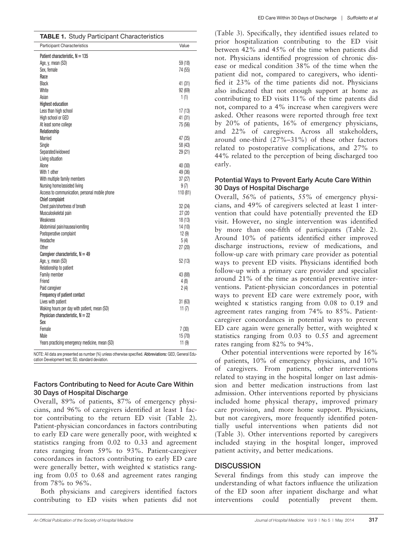| <b>TABLE 1.</b> Study Participant Characteristics |          |
|---------------------------------------------------|----------|
| <b>Participant Characteristics</b>                | Value    |
| Patient characteristic, $N = 135$                 |          |
| Age, y, mean (SD)                                 | 59 (18)  |
| Sex, female                                       | 74 (55)  |
| Race                                              |          |
| Black                                             | 41 (31)  |
| White                                             | 92(69)   |
| Asian                                             | 1(1)     |
| <b>Highest education</b>                          |          |
| Less than high school                             | 17(13)   |
| High school or GED                                | 41 (31)  |
| At least some college                             | 75 (56)  |
| Relationship                                      |          |
| Married                                           | 47 (35)  |
| Single                                            | 58 (43)  |
| Separated/widowed                                 | 29(21)   |
| Living situation                                  |          |
| Alone                                             | 40 (30)  |
| With 1 other                                      | 49 (36)  |
| With multiple family members                      | 37(27)   |
| Nursing home/assisted living                      | 9(7)     |
| Access to communication, personal mobile phone    | 110 (81) |
| <b>Chief complaint</b>                            |          |
| Chest pain/shortness of breath                    | 32(24)   |
| Musculoskeletal pain                              | 27 (20   |
| Weakness                                          | 18(13)   |
| Abdominal pain/nausea/vomiting                    | 14(10)   |
| Postoperative complaint                           | 12(9)    |
| Headache                                          | 5 (4)    |
| <b>Other</b>                                      | 27(20)   |
| Caregiver characteristic, $N = 49$                |          |
| Age, y, mean (SD)                                 | 52(13)   |
| Relationship to patient                           |          |
| <b>Family member</b><br>Friend                    | 43 (88)  |
| Paid caregiver                                    | 4(8)     |
| Frequency of patient contact                      | 2(4)     |
| Lives with patient                                | 31(63)   |
| Waking hours per day with patient, mean (SD)      | 11(7)    |
| Physician characteristic, $N = 22$                |          |
| Sex                                               |          |
| Female                                            | 7(30)    |
| Male                                              | 15(70)   |
| Years practicing emergency medicine, mean (SD)    | 11(9)    |
|                                                   |          |

NOTE: All data are presented as number (%) unless otherwise specified. Abbreviations: GED, General Education Development test; SD, standard deviation.

#### Factors Contributing to Need for Acute Care Within 30 Days of Hospital Discharge

Overall, 89% of patients, 87% of emergency physicians, and 96% of caregivers identified at least 1 factor contributing to the return ED visit (Table 2). Patient-physician concordances in factors contributing to early ED care were generally poor, with weighted  $\kappa$ statistics ranging from 0.02 to 0.33 and agreement rates ranging from 59% to 93%. Patient-caregiver concordances in factors contributing to early ED care were generally better, with weighted  $\kappa$  statistics ranging from 0.05 to 0.68 and agreement rates ranging from 78% to 96%.

Both physicians and caregivers identified factors contributing to ED visits when patients did not (Table 3). Specifically, they identified issues related to prior hospitalization contributing to the ED visit between 42% and 45% of the time when patients did not. Physicians identified progression of chronic disease or medical condition 38% of the time when the patient did not, compared to caregivers, who identified it 23% of the time patients did not. Physicians also indicated that not enough support at home as contributing to ED visits 11% of the time patents did not, compared to a 4% increase when caregivers were asked. Other reasons were reported through free text by 20% of patients, 16% of emergency physicians, and 22% of caregivers. Across all stakeholders, around one-third (27%–31%) of these other factors related to postoperative complications, and 27% to 44% related to the perception of being discharged too early.

#### Potential Ways to Prevent Early Acute Care Within 30 Days of Hospital Discharge

Overall, 56% of patients, 55% of emergency physicians, and 49% of caregivers selected at least 1 intervention that could have potentially prevented the ED visit. However, no single intervention was identified by more than one-fifth of participants (Table 2). Around 10% of patients identified either improved discharge instructions, review of medications, and follow-up care with primary care provider as potential ways to prevent ED visits. Physicians identified both follow-up with a primary care provider and specialist around 21% of the time as potential preventive interventions. Patient-physician concordances in potential ways to prevent ED care were extremely poor, with weighted  $\kappa$  statistics ranging from 0.08 to 0.19 and agreement rates ranging from 74% to 85%. Patientcaregiver concordances in potential ways to prevent ED care again were generally better, with weighted  $\kappa$ statistics ranging from 0.03 to 0.55 and agreement rates ranging from 82% to 94%.

Other potential interventions were reported by 16% of patients, 10% of emergency physicians, and 10% of caregivers. From patients, other interventions related to staying in the hospital longer on last admission and better medication instructions from last admission. Other interventions reported by physicians included home physical therapy, improved primary care provision, and more home support. Physicians, but not caregivers, more frequently identified potentially useful interventions when patients did not (Table 3). Other interventions reported by caregivers included staying in the hospital longer, improved patient activity, and better medications.

### **DISCUSSION**

Several findings from this study can improve the understanding of what factors influence the utilization of the ED soon after inpatient discharge and what interventions could potentially prevent them.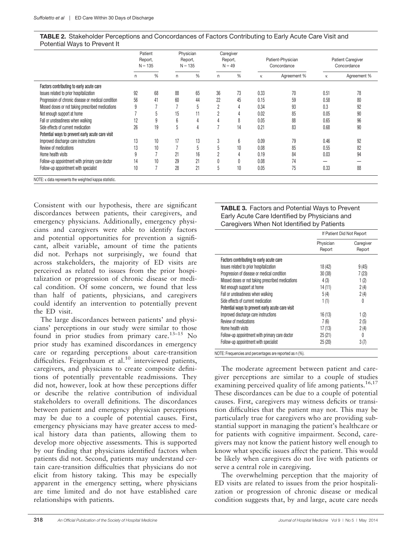| <b>TABLE 2.</b> Stakeholder Perceptions and Concordances of Factors Contributing to Early Acute Care Visit and |  |  |  |
|----------------------------------------------------------------------------------------------------------------|--|--|--|
| Potential Ways to Prevent It                                                                                   |  |  |  |

|                                                              | Patient<br>Report,<br>$N = 135$ |    |                 | Physician<br>Report,<br>$N = 135$ |            | Caregiver<br>Report,<br>$N = 49$ |      | Patient-Physician<br>Concordance |      | <b>Patient Caregiver</b><br>Concordance |  |
|--------------------------------------------------------------|---------------------------------|----|-----------------|-----------------------------------|------------|----------------------------------|------|----------------------------------|------|-----------------------------------------|--|
|                                                              | n                               | %  | n               | %                                 | n          | %                                | К    | Agreement %                      | К    | Agreement %                             |  |
| Factors contributing to early acute care                     |                                 |    |                 |                                   |            |                                  |      |                                  |      |                                         |  |
| Issues related to prior hospitalization                      | 92                              | 68 | 88              | 65                                | 36         | 73                               | 0.33 | 70                               | 0.51 | 78                                      |  |
| Progression of chronic disease or medical condition          | 56                              | 41 | 60              | 44                                | 22         | 45                               | 0.15 | 59                               | 0.58 | 80                                      |  |
| Missed doses or not taking prescribed medications            | 9                               |    |                 | 'n                                | ŋ          | 4                                | 0.34 | 93                               | 0.3  | 92                                      |  |
| Not enough support at home                                   |                                 | Ċ  | 15              |                                   | $\sqrt{2}$ | 4                                | 0.02 | 85                               | 0.05 | 90                                      |  |
| Fall or unsteadiness when walking                            | 12                              | 9  | $6\overline{6}$ | 4                                 |            | 8                                | 0.05 | 88                               | 0.65 | 96                                      |  |
| Side effects of current medication                           | 26                              | 19 | Ċ               |                                   |            | 14                               | 0.21 | 83                               | 0.68 | 90                                      |  |
| Potential ways to prevent early acute care visit             |                                 |    |                 |                                   |            |                                  |      |                                  |      |                                         |  |
| Improved discharge care instructions                         | 13                              | 10 | 17              | 13                                | 3          | 6                                | 0.09 | 79                               | 0.46 | 92                                      |  |
| Review of medications                                        | 13                              | 10 |                 | 5                                 |            | 10                               | 0.08 | 85                               | 0.55 | 82                                      |  |
| Home health visits                                           | 9                               |    | 21              | 16                                | n          | 4                                | 0.19 | 84                               | 0.03 | 94                                      |  |
| Follow-up appointment with primary care doctor               | 14                              | 10 | 29              | 21                                |            | 0                                | 0.08 | 74                               |      |                                         |  |
| Follow-up appointment with specialist                        | 10                              | 7  | 28              | 21                                | Ċ          | 10                               | 0.05 | 75                               | 0.33 | 88                                      |  |
| NOTE: $\kappa$ data represents the weighted kappa statistic. |                                 |    |                 |                                   |            |                                  |      |                                  |      |                                         |  |

Consistent with our hypothesis, there are significant discordances between patients, their caregivers, and emergency physicians. Additionally, emergency physicians and caregivers were able to identify factors and potential opportunities for prevention a significant, albeit variable, amount of time the patients did not. Perhaps not surprisingly, we found that across stakeholders, the majority of ED visits are perceived as related to issues from the prior hospitalization or progression of chronic disease or medical condition. Of some concern, we found that less than half of patients, physicians, and caregivers could identify an intervention to potentially prevent the ED visit.

The large discordances between patients' and physicians' perceptions in our study were similar to those found in prior studies from primary care.<sup>13–15</sup> No prior study has examined discordances in emergency care or regarding perceptions about care-transition difficulties. Feigenbaum et al.<sup>10</sup> interviewed patients, caregivers, and physicians to create composite definitions of potentially preventable readmissions. They did not, however, look at how these perceptions differ or describe the relative contribution of individual stakeholders to overall definitions. The discordances between patient and emergency physician perceptions may be due to a couple of potential causes. First, emergency physicians may have greater access to medical history data than patients, allowing them to develop more objective assessments. This is supported by our finding that physicians identified factors when patients did not. Second, patients may understand certain care-transition difficulties that physicians do not elicit from history taking. This may be especially apparent in the emergency setting, where physicians are time limited and do not have established care relationships with patients.

#### TABLE 3. Factors and Potential Ways to Prevent Early Acute Care Identified by Physicians and Caregivers When Not Identified by Patients

|                                                   | If Patient Did Not Report |                     |  |
|---------------------------------------------------|---------------------------|---------------------|--|
|                                                   | Physician<br>Report       | Caregiver<br>Report |  |
| Factors contributing to early acute care          |                           |                     |  |
| Issues related to prior hospitalization           | 18 (42)                   | 9(45)               |  |
| Progression of disease or medical condition       | 30(38)                    | 7 (23)              |  |
| Missed doses or not taking prescribed medications | 4(3)                      | 1(2)                |  |
| Not enough support at home                        | 14 (11)                   | 2(4)                |  |
| Fall or unsteadiness when walking                 | 5(4)                      | 2(4)                |  |
| Side effects of current medication                | 1(1)                      | 0                   |  |
| Potential ways to prevent early acute care visit  |                           |                     |  |
| Improved discharge care instructions              | 16(13)                    | 1(2)                |  |
| Review of medications                             | 7(6)                      | 2(5)                |  |
| Home health visits                                | 17(13)                    | 2(4)                |  |
| Follow-up appointment with primary care doctor    | 25(21)                    | 0                   |  |
| Follow-up appointment with specialist             | 25(20)                    | 3(7)                |  |

NOTE: Frequencies and percentages are reported as n (%).

The moderate agreement between patient and caregiver perceptions are similar to a couple of studies examining perceived quality of life among patients.<sup>16,17</sup> These discordances can be due to a couple of potential causes. First, caregivers may witness deficits or transition difficulties that the patient may not. This may be particularly true for caregivers who are providing substantial support in managing the patient's healthcare or for patients with cognitive impairment. Second, caregivers may not know the patient history well enough to know what specific issues affect the patient. This would be likely when caregivers do not live with patients or serve a central role in caregiving.

The overwhelming perception that the majority of ED visits are related to issues from the prior hospitalization or progression of chronic disease or medical condition suggests that, by and large, acute care needs